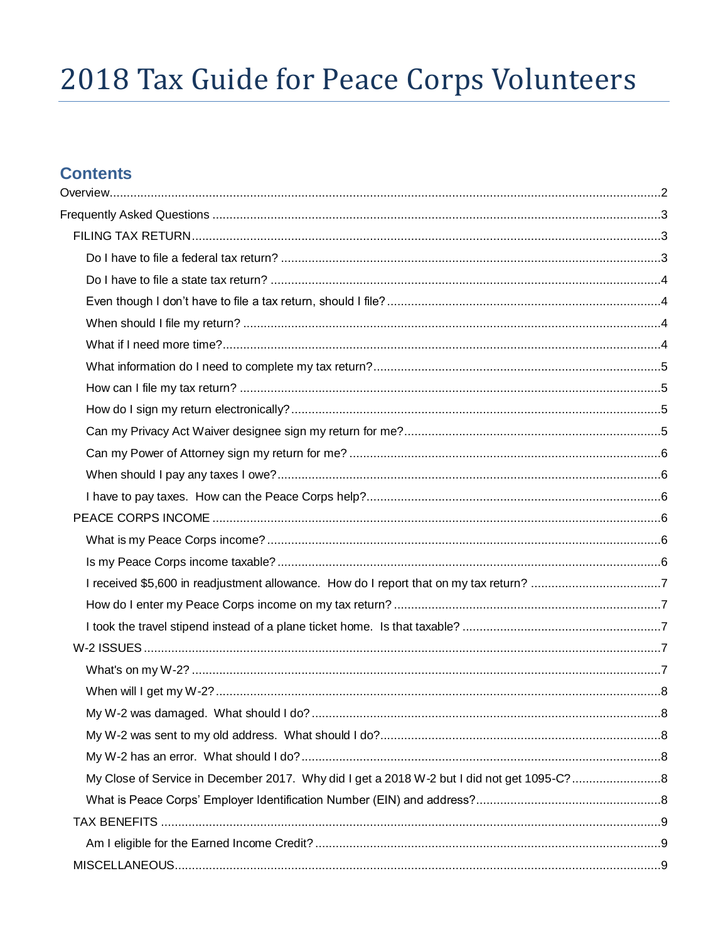# 2018 Tax Guide for Peace Corps Volunteers

# **Contents**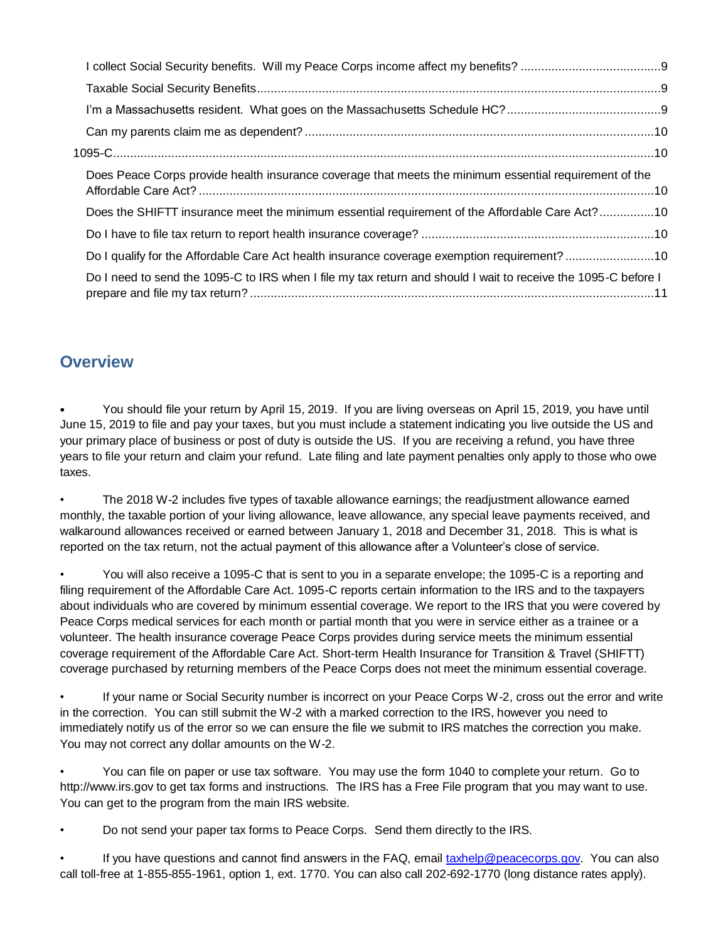| Does Peace Corps provide health insurance coverage that meets the minimum essential requirement of the         |  |
|----------------------------------------------------------------------------------------------------------------|--|
| Does the SHIFTT insurance meet the minimum essential requirement of the Affordable Care Act?10                 |  |
|                                                                                                                |  |
| Do I qualify for the Affordable Care Act health insurance coverage exemption requirement?10                    |  |
| Do I need to send the 1095-C to IRS when I file my tax return and should I wait to receive the 1095-C before I |  |

# <span id="page-1-0"></span>**Overview**

• You should file your return by [April 15,](https://www.irs.gov/newsroom/2018-tax-filing-season-begins-jan-29-tax-returns-due-april-17-help-available-for-taxpayers) 2019. If you are living overseas on April 15, 2019, you have until June 15, 2019 to file and pay your taxes, but you must include a statement indicating you live outside the US and your primary place of business or post of duty is outside the US. If you are receiving a refund, you have three years to file your return and claim your refund. Late filing and late payment penalties only apply to those who owe taxes.

• The 2018 W-2 includes five types of taxable allowance earnings; the readjustment allowance earned monthly, the taxable portion of your living allowance, leave allowance, any special leave payments received, and walkaround allowances received or earned between January 1, 2018 and December 31, 2018. This is what is reported on the tax return, not the actual payment of this allowance after a Volunteer's close of service.

• You will also receive a 1095-C that is sent to you in a separate envelope; the 1095-C is a reporting and filing requirement of the Affordable Care Act. 1095-C reports certain information to the IRS and to the taxpayers about individuals who are covered by minimum essential coverage. We report to the IRS that you were covered by Peace Corps medical services for each month or partial month that you were in service either as a trainee or a volunteer. The health insurance coverage Peace Corps provides during service meets the minimum essential coverage requirement of the Affordable Care Act. Short-term Health Insurance for Transition & Travel (SHIFTT) coverage purchased by returning members of the Peace Corps does not meet the minimum essential coverage.

• If your name or Social Security number is incorrect on your Peace Corps W-2, cross out the error and write in the correction. You can still submit the W-2 with a marked correction to the IRS, however you need to immediately notify us of the error so we can ensure the file we submit to IRS matches the correction you make. You may not correct any dollar amounts on the W-2.

• You can file on paper or use tax software. You may use the form 1040 to complete your return. Go to http://www.irs.gov to get tax forms and instructions. The IRS has a Free File program that you may want to use. You can get to the program from the main IRS website.

• Do not send your paper tax forms to Peace Corps. Send them directly to the IRS.

If you have questions and cannot find answers in the FAQ, email [taxhelp@peacecorps.gov.](file:///C:/Users/nhendricks/AppData/Roaming/Microsoft/Word/taxhelp@peacecorps.gov) You can also call toll-free at 1-855-855-1961, option 1, ext. 1770. You can also call 202-692-1770 (long distance rates apply).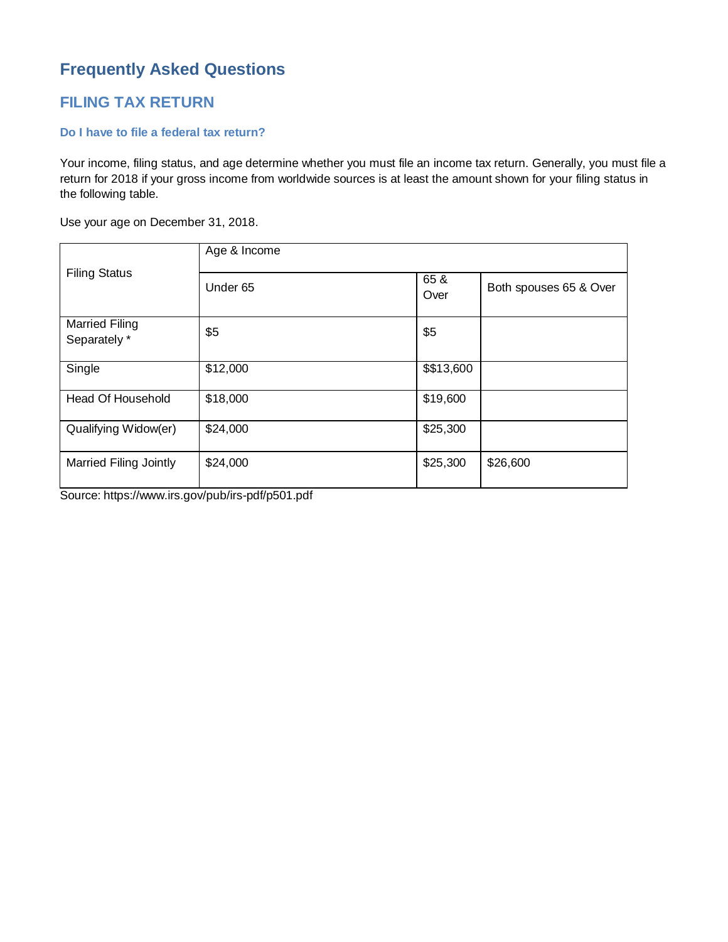# <span id="page-2-0"></span>**Frequently Asked Questions**

# <span id="page-2-1"></span>**FILING TAX RETURN**

#### <span id="page-2-2"></span>**Do I have to file a federal tax return?**

Your income, filing status, and age determine whether you must file an income tax return. Generally, you must file a return for 2018 if your gross income from worldwide sources is at least the amount shown for your filing status in the following table.

Use your age on December 31, 2018.

|                                       | Age & Income        |              |                        |  |
|---------------------------------------|---------------------|--------------|------------------------|--|
| <b>Filing Status</b>                  | Under <sub>65</sub> | 65 &<br>Over | Both spouses 65 & Over |  |
| <b>Married Filing</b><br>Separately * | \$5                 | \$5          |                        |  |
| Single                                | \$12,000            | \$\$13,600   |                        |  |
| <b>Head Of Household</b>              | \$18,000            | \$19,600     |                        |  |
| Qualifying Widow(er)                  | \$24,000            | \$25,300     |                        |  |
| <b>Married Filing Jointly</b>         | \$24,000            | \$25,300     | \$26,600               |  |

Source: https://www.irs.gov/pub/irs-pdf/p501.pdf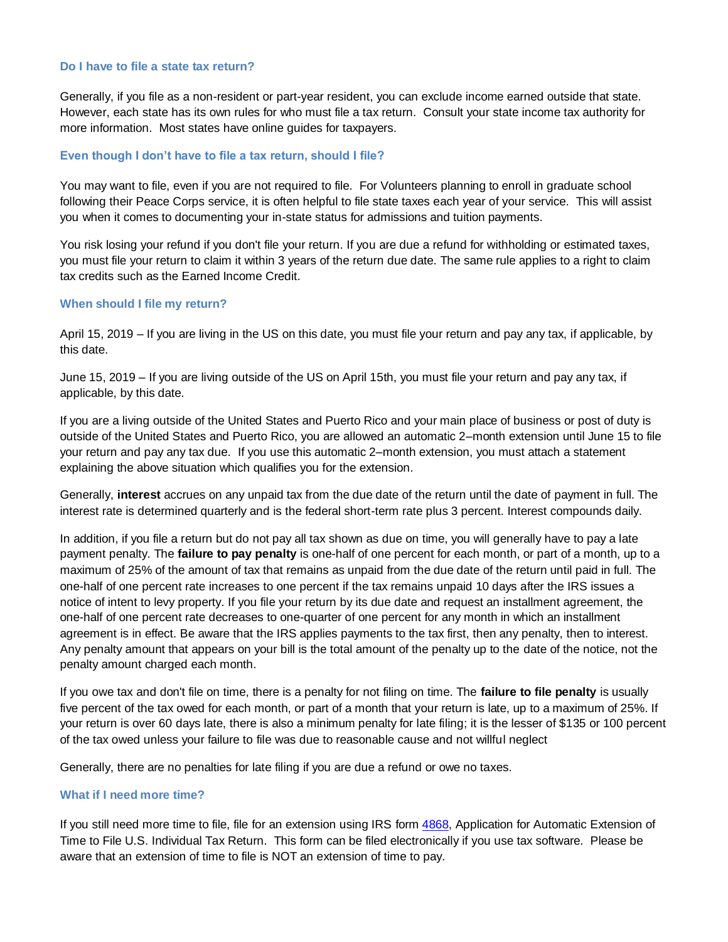#### <span id="page-3-0"></span>**Do I have to file a state tax return?**

Generally, if you file as a non-resident or part-year resident, you can exclude income earned outside that state. However, each state has its own rules for who must file a tax return. Consult your state income tax authority for more information. Most states have online guides for taxpayers.

#### <span id="page-3-1"></span>**Even though I don't have to file a tax return, should I file?**

You may want to file, even if you are not required to file. For Volunteers planning to enroll in graduate school following their Peace Corps service, it is often helpful to file state taxes each year of your service. This will assist you when it comes to documenting your in-state status for admissions and tuition payments.

You risk losing your refund if you don't file your return. If you are due a refund for withholding or estimated taxes, you must file your return to claim it within 3 years of the return due date. The same rule applies to a right to claim tax credits such as the Earned Income Credit.

#### <span id="page-3-2"></span>**When should I file my return?**

April 15, 2019 – If you are living in the US on this date, you must file your return and pay any tax, if applicable, by this date.

June 15, 2019 – If you are living outside of the US on April 15th, you must file your return and pay any tax, if applicable, by this date.

If you are a living outside of the United States and Puerto Rico and your main place of business or post of duty is outside of the United States and Puerto Rico, you are allowed an automatic 2–month extension until June 15 to file your return and pay any tax due. If you use this automatic 2–month extension, you must attach a statement explaining the above situation which qualifies you for the extension.

Generally, **interest** accrues on any unpaid tax from the due date of the return until the date of payment in full. The interest rate is determined quarterly and is the federal short-term rate plus 3 percent. Interest compounds daily.

In addition, if you file a return but do not pay all tax shown as due on time, you will generally have to pay a late payment penalty. The **failure to pay penalty** is one-half of one percent for each month, or part of a month, up to a maximum of 25% of the amount of tax that remains as unpaid from the due date of the return until paid in full. The one-half of one percent rate increases to one percent if the tax remains unpaid 10 days after the IRS issues a notice of intent to levy property. If you file your return by its due date and request an installment agreement, the one-half of one percent rate decreases to one-quarter of one percent for any month in which an installment agreement is in effect. Be aware that the IRS applies payments to the tax first, then any penalty, then to interest. Any penalty amount that appears on your bill is the total amount of the penalty up to the date of the notice, not the penalty amount charged each month.

If you owe tax and don't file on time, there is a penalty for not filing on time. The **failure to file penalty** is usually five percent of the tax owed for each month, or part of a month that your return is late, up to a maximum of 25%. If your return is over 60 days late, there is also a minimum penalty for late filing; it is the lesser of \$135 or 100 percent of the tax owed unless your failure to file was due to reasonable cause and not willful neglect

Generally, there are no penalties for late filing if you are due a refund or owe no taxes.

#### <span id="page-3-3"></span>**What if I need more time?**

If you still need more time to file, file for an extension using IRS form [4868,](https://www.irs.gov/pub/irs-pdf/f4868.pdf) Application for Automatic Extension of Time to File U.S. Individual Tax Return. This form can be filed electronically if you use tax software. Please be aware that an extension of time to file is NOT an extension of time to pay.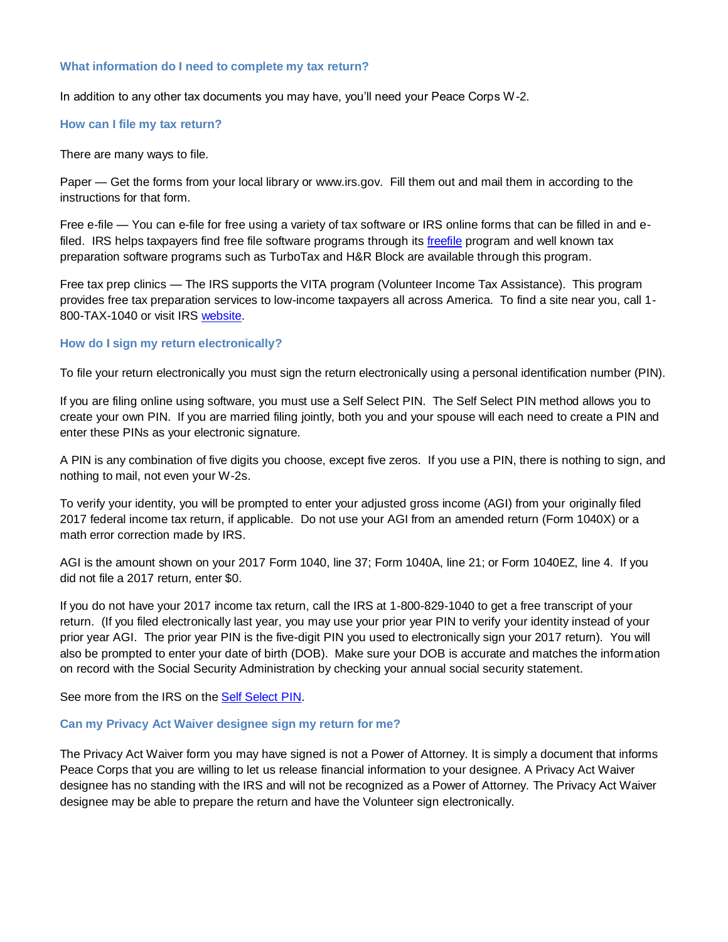#### <span id="page-4-0"></span>**What information do I need to complete my tax return?**

In addition to any other tax documents you may have, you'll need your Peace Corps W-2.

#### <span id="page-4-1"></span>**How can I file my tax return?**

There are many ways to file.

Paper — Get the forms from your local library or www.irs.gov. Fill them out and mail them in according to the instructions for that form.

Free e-file — You can e-file for free using a variety of tax software or IRS online forms that can be filled in and efiled. IRS helps taxpayers find free file software programs through its [freefile](https://www.irs.gov/uac/Free-File:-Do-Your-Federal-Taxes-for-Free) program and well known tax preparation software programs such as TurboTax and H&R Block are available through this program.

Free tax prep clinics — The IRS supports the VITA program (Volunteer Income Tax Assistance). This program provides free tax preparation services to low-income taxpayers all across America. To find a site near you, call 1- 800-TAX-1040 or visit IRS [website.](http://irs.treasury.gov/freetaxprep/)

#### <span id="page-4-2"></span>**How do I sign my return electronically?**

To file your return electronically you must sign the return electronically using a personal identification number (PIN).

If you are filing online using software, you must use a Self Select PIN. The Self Select PIN method allows you to create your own PIN. If you are married filing jointly, both you and your spouse will each need to create a PIN and enter these PINs as your electronic signature.

A PIN is any combination of five digits you choose, except five zeros. If you use a PIN, there is nothing to sign, and nothing to mail, not even your W-2s.

To verify your identity, you will be prompted to enter your adjusted gross income (AGI) from your originally filed 2017 federal income tax return, if applicable. Do not use your AGI from an amended return (Form 1040X) or a math error correction made by IRS.

AGI is the amount shown on your 2017 Form 1040, line 37; Form 1040A, line 21; or Form 1040EZ, line 4. If you did not file a 2017 return, enter \$0.

If you do not have your 2017 income tax return, call the IRS at 1-800-829-1040 to get a free transcript of your return. (If you filed electronically last year, you may use your prior year PIN to verify your identity instead of your prior year AGI. The prior year PIN is the five-digit PIN you used to electronically sign your 2017 return). You will also be prompted to enter your date of birth (DOB). Make sure your DOB is accurate and matches the information on record with the Social Security Administration by checking your annual social security statement.

See more from the IRS on the [Self Select PIN.](https://www.irs.gov/Tax-Professionals/e-File-Providers-&-Partners/Self-Select-PIN-Method-for-Forms-1040-and-4868-Modernized-e-File)

#### <span id="page-4-3"></span>**Can my Privacy Act Waiver designee sign my return for me?**

The Privacy Act Waiver form you may have signed is not a Power of Attorney. It is simply a document that informs Peace Corps that you are willing to let us release financial information to your designee. A Privacy Act Waiver designee has no standing with the IRS and will not be recognized as a Power of Attorney. The Privacy Act Waiver designee may be able to prepare the return and have the Volunteer sign electronically.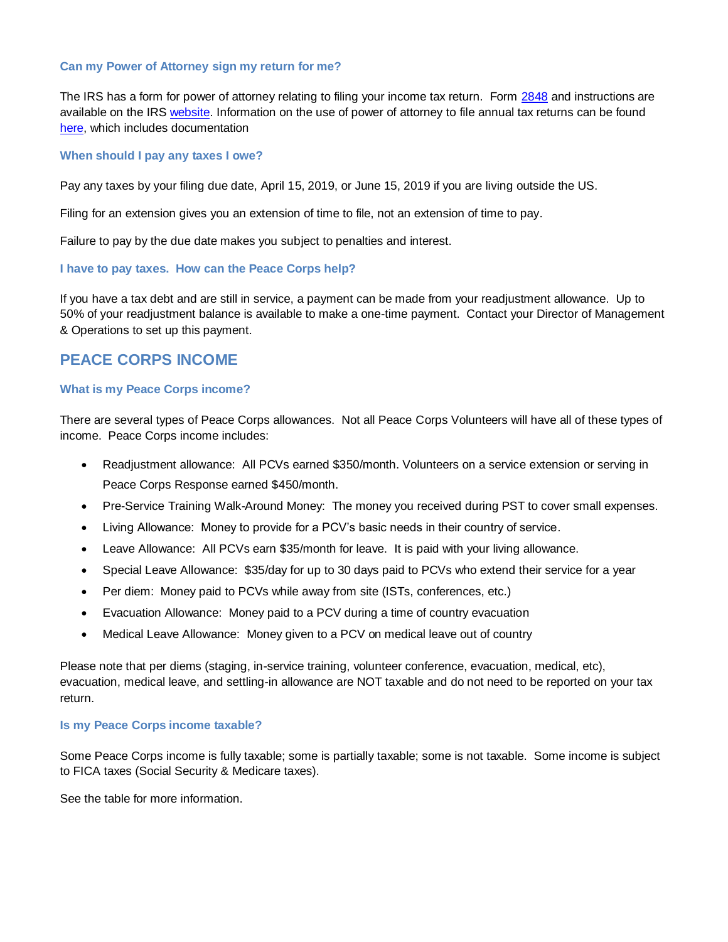#### <span id="page-5-0"></span>**Can my Power of Attorney sign my return for me?**

The IRS has a form for power of attorney relating to filing your income tax return. Form [2848](https://www.irs.gov/uac/About-Form-2848) and instructions are available on the IR[S website.](https://www.irs.gov/uac/About-Form-2848) Information on the use of power of attorney to file annual tax returns can be found [here,](https://www.irs.gov/publications/p947#en_US_201410_publink1000148595) which includes documentation

#### <span id="page-5-1"></span>**When should I pay any taxes I owe?**

Pay any taxes by your filing due date, April 15, 2019, or June 15, 2019 if you are living outside the US.

Filing for an extension gives you an extension of time to file, not an extension of time to pay.

Failure to pay by the due date makes you subject to penalties and interest.

#### <span id="page-5-2"></span>**I have to pay taxes. How can the Peace Corps help?**

If you have a tax debt and are still in service, a payment can be made from your readjustment allowance. Up to 50% of your readjustment balance is available to make a one-time payment. Contact your Director of Management & Operations to set up this payment.

## <span id="page-5-3"></span>**PEACE CORPS INCOME**

#### <span id="page-5-4"></span>**What is my Peace Corps income?**

There are several types of Peace Corps allowances. Not all Peace Corps Volunteers will have all of these types of income. Peace Corps income includes:

- Readjustment allowance: All PCVs earned \$350/month. Volunteers on a service extension or serving in Peace Corps Response earned \$450/month.
- Pre-Service Training Walk-Around Money: The money you received during PST to cover small expenses.
- Living Allowance: Money to provide for a PCV's basic needs in their country of service.
- Leave Allowance: All PCVs earn \$35/month for leave. It is paid with your living allowance.
- Special Leave Allowance: \$35/day for up to 30 days paid to PCVs who extend their service for a year
- Per diem: Money paid to PCVs while away from site (ISTs, conferences, etc.)
- Evacuation Allowance: Money paid to a PCV during a time of country evacuation
- Medical Leave Allowance: Money given to a PCV on medical leave out of country

Please note that per diems (staging, in-service training, volunteer conference, evacuation, medical, etc), evacuation, medical leave, and settling-in allowance are NOT taxable and do not need to be reported on your tax return.

#### <span id="page-5-5"></span>**Is my Peace Corps income taxable?**

Some Peace Corps income is fully taxable; some is partially taxable; some is not taxable. Some income is subject to FICA taxes (Social Security & Medicare taxes).

See the table for more information.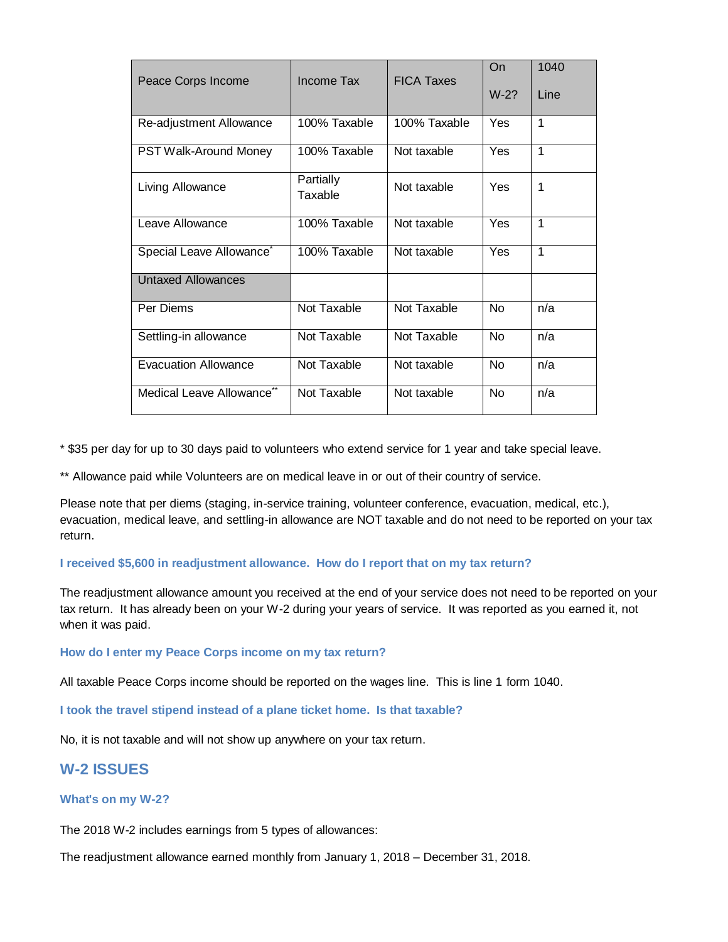| Peace Corps Income                   | Income Tax           | <b>FICA Taxes</b> | On<br>$W-2?$ | 1040<br>Line |
|--------------------------------------|----------------------|-------------------|--------------|--------------|
| Re-adjustment Allowance              | 100% Taxable         | 100% Taxable      | Yes          | 1            |
| <b>PST Walk-Around Money</b>         | 100% Taxable         | Not taxable       | Yes          | 1            |
| Living Allowance                     | Partially<br>Taxable | Not taxable       | Yes          | 1            |
| Leave Allowance                      | 100% Taxable         | Not taxable       | Yes          | 1            |
| Special Leave Allowance <sup>*</sup> | 100% Taxable         | Not taxable       | Yes          | 1            |
| <b>Untaxed Allowances</b>            |                      |                   |              |              |
| Per Diems                            | Not Taxable          | Not Taxable       | No           | n/a          |
| Settling-in allowance                | Not Taxable          | Not Taxable       | <b>No</b>    | n/a          |
| Evacuation Allowance                 | Not Taxable          | Not taxable       | <b>No</b>    | n/a          |
| Medical Leave Allowance**            | Not Taxable          | Not taxable       | No           | n/a          |

\* \$35 per day for up to 30 days paid to volunteers who extend service for 1 year and take special leave.

\*\* Allowance paid while Volunteers are on medical leave in or out of their country of service.

Please note that per diems (staging, in-service training, volunteer conference, evacuation, medical, etc.), evacuation, medical leave, and settling-in allowance are NOT taxable and do not need to be reported on your tax return.

#### <span id="page-6-0"></span>**I received \$5,600 in readjustment allowance. How do I report that on my tax return?**

The readjustment allowance amount you received at the end of your service does not need to be reported on your tax return. It has already been on your W-2 during your years of service. It was reported as you earned it, not when it was paid.

<span id="page-6-1"></span>**How do I enter my Peace Corps income on my tax return?**

All taxable Peace Corps income should be reported on the wages line. This is line 1 form 1040.

<span id="page-6-2"></span>**I took the travel stipend instead of a plane ticket home. Is that taxable?**

No, it is not taxable and will not show up anywhere on your tax return.

## <span id="page-6-3"></span>**W-2 ISSUES**

#### <span id="page-6-4"></span>**What's on my W-2?**

The 2018 W-2 includes earnings from 5 types of allowances:

The readjustment allowance earned monthly from January 1, 2018 – December 31, 2018.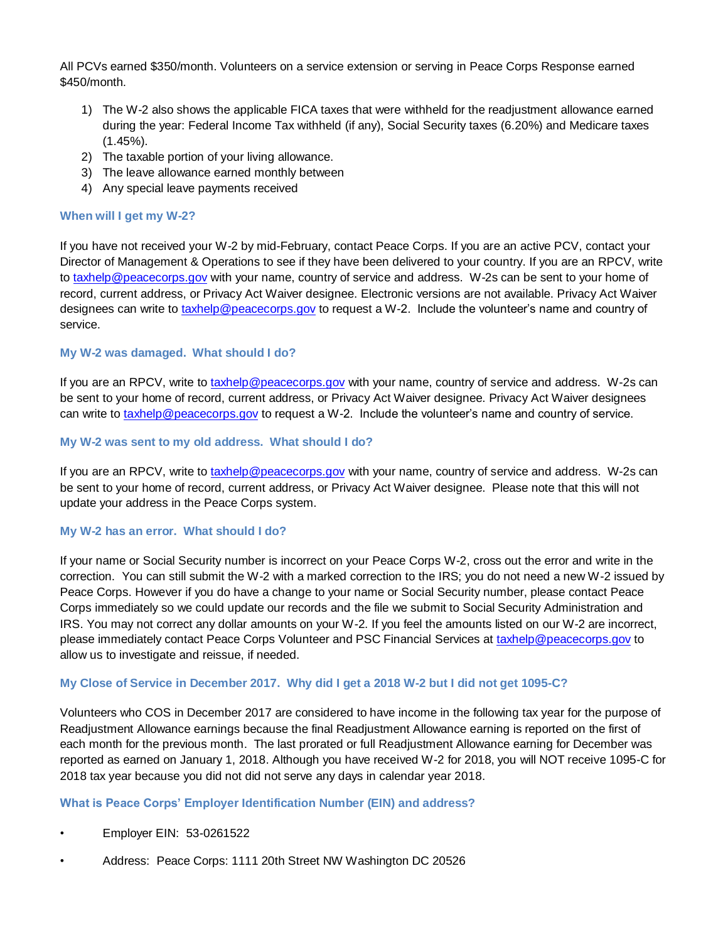All PCVs earned \$350/month. Volunteers on a service extension or serving in Peace Corps Response earned \$450/month.

- 1) The W-2 also shows the applicable FICA taxes that were withheld for the readjustment allowance earned during the year: Federal Income Tax withheld (if any), Social Security taxes (6.20%) and Medicare taxes (1.45%).
- 2) The taxable portion of your living allowance.
- 3) The leave allowance earned monthly between
- 4) Any special leave payments received

#### <span id="page-7-0"></span>**When will I get my W-2?**

If you have not received your W-2 by mid-February, contact Peace Corps. If you are an active PCV, contact your Director of Management & Operations to see if they have been delivered to your country. If you are an RPCV, write to [taxhelp@peacecorps.gov](file:///C:/Users/ztamre/AppData/Local/Microsoft/Windows/Temporary%20Internet%20Files/Content.Outlook/OA2VTK96/taxhelp@peacecorps.gov) with your name, country of service and address. W-2s can be sent to your home of record, current address, or Privacy Act Waiver designee. Electronic versions are not available. Privacy Act Waiver designees can write to [taxhelp@peacecorps.gov](file:///C:/Users/ztamre/AppData/Local/Microsoft/Windows/Temporary%20Internet%20Files/Content.Outlook/OA2VTK96/taxhelp@peacecorps.gov) to request a W-2. Include the volunteer's name and country of service.

#### <span id="page-7-1"></span>**My W-2 was damaged. What should I do?**

If you are an RPCV, write to [taxhelp@peacecorps.gov](mailto:taxhelp@peacecorps.gov) with your name, country of service and address. W-2s can be sent to your home of record, current address, or Privacy Act Waiver designee. Privacy Act Waiver designees can write to [taxhelp@peacecorps.gov](file:///C:/Users/ztamre/AppData/Local/Microsoft/Windows/Temporary%20Internet%20Files/Content.Outlook/OA2VTK96/taxhelp@peacecorps.gov) to request a W-2. Include the volunteer's name and country of service.

#### <span id="page-7-2"></span>**My W-2 was sent to my old address. What should I do?**

If you are an RPCV, write to [taxhelp@peacecorps.gov](file:///C:/Users/ztamre/AppData/Local/Microsoft/Windows/Temporary%20Internet%20Files/Content.Outlook/OA2VTK96/taxhelp@peacecorps.gov) with your name, country of service and address. W-2s can be sent to your home of record, current address, or Privacy Act Waiver designee. Please note that this will not update your address in the Peace Corps system.

#### <span id="page-7-3"></span>**My W-2 has an error. What should I do?**

If your name or Social Security number is incorrect on your Peace Corps W-2, cross out the error and write in the correction. You can still submit the W-2 with a marked correction to the IRS; you do not need a new W-2 issued by Peace Corps. However if you do have a change to your name or Social Security number, please contact Peace Corps immediately so we could update our records and the file we submit to Social Security Administration and IRS. You may not correct any dollar amounts on your W-2. If you feel the amounts listed on our W-2 are incorrect, please immediately contact Peace Corps Volunteer and PSC Financial Services at [taxhelp@peacecorps.gov](file:///C:/Users/ztamre/AppData/Local/Microsoft/Windows/Temporary%20Internet%20Files/Content.Outlook/OA2VTK96/taxhelp@peacecorps.gov) to allow us to investigate and reissue, if needed.

#### <span id="page-7-4"></span>**My Close of Service in December 2017. Why did I get a 2018 W-2 but I did not get 1095-C?**

Volunteers who COS in December 2017 are considered to have income in the following tax year for the purpose of Readjustment Allowance earnings because the final Readjustment Allowance earning is reported on the first of each month for the previous month. The last prorated or full Readjustment Allowance earning for December was reported as earned on January 1, 2018. Although you have received W-2 for 2018, you will NOT receive 1095-C for 2018 tax year because you did not did not serve any days in calendar year 2018.

#### <span id="page-7-5"></span>**What is Peace Corps' Employer Identification Number (EIN) and address?**

- Employer EIN: 53-0261522
- Address: Peace Corps: 1111 20th Street NW Washington DC 20526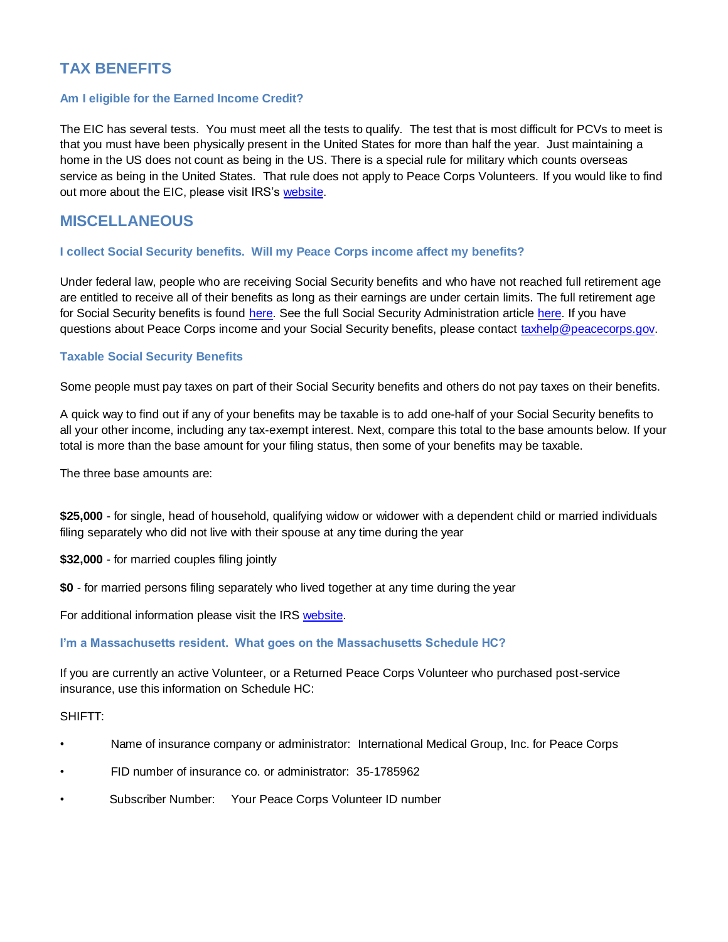# <span id="page-8-0"></span>**TAX BENEFITS**

#### <span id="page-8-1"></span>**Am I eligible for the Earned Income Credit?**

The EIC has several tests. You must meet all the tests to qualify. The test that is most difficult for PCVs to meet is that you must have been physically present in the United States for more than half the year. Just maintaining a home in the US does not count as being in the US. There is a special rule for military which counts overseas service as being in the United States. That rule does not apply to Peace Corps Volunteers. If you would like to find out more about the EIC, please visit IRS's [website.](https://www.irs.gov/publications/p596)

## <span id="page-8-2"></span>**MISCELLANEOUS**

#### <span id="page-8-3"></span>**I collect Social Security benefits. Will my Peace Corps income affect my benefits?**

Under federal law, people who are receiving Social Security benefits and who have not reached full retirement age are entitled to receive all of their benefits as long as their earnings are under certain limits. The full retirement age for Social Security benefits is found [here.](hhttps://www.ssa.gov/planners/retire/whileworking.html) See the full Social Security Administration article here. If you have questions about Peace Corps income and your Social Security benefits, please contact [taxhelp@peacecorps.gov.](mailto:taxhelp@peacecorps.gov)

#### <span id="page-8-4"></span>**Taxable Social Security Benefits**

Some people must pay taxes on part of their Social Security benefits and others do not pay taxes on their benefits.

A quick way to find out if any of your benefits may be taxable is to add one-half of your Social Security benefits to all your other income, including any tax-exempt interest. Next, compare this total to the base amounts below. If your total is more than the base amount for your filing status, then some of your benefits may be taxable.

The three base amounts are:

**\$25,000** - for single, head of household, qualifying widow or widower with a dependent child or married individuals filing separately who did not live with their spouse at any time during the year

**\$32,000** - for married couples filing jointly

**\$0** - for married persons filing separately who lived together at any time during the year

For additional information please visit the IR[S website.](https://www.irs.gov/newsroom/are-social-security-benefits-taxable)

#### <span id="page-8-5"></span>**I'm a Massachusetts resident. What goes on the Massachusetts Schedule HC?**

If you are currently an active Volunteer, or a Returned Peace Corps Volunteer who purchased post-service insurance, use this information on Schedule HC:

#### SHIFTT:

- Name of insurance company or administrator: International Medical Group, Inc. for Peace Corps
- FID number of insurance co. or administrator: 35-1785962
- Subscriber Number: Your Peace Corps Volunteer ID number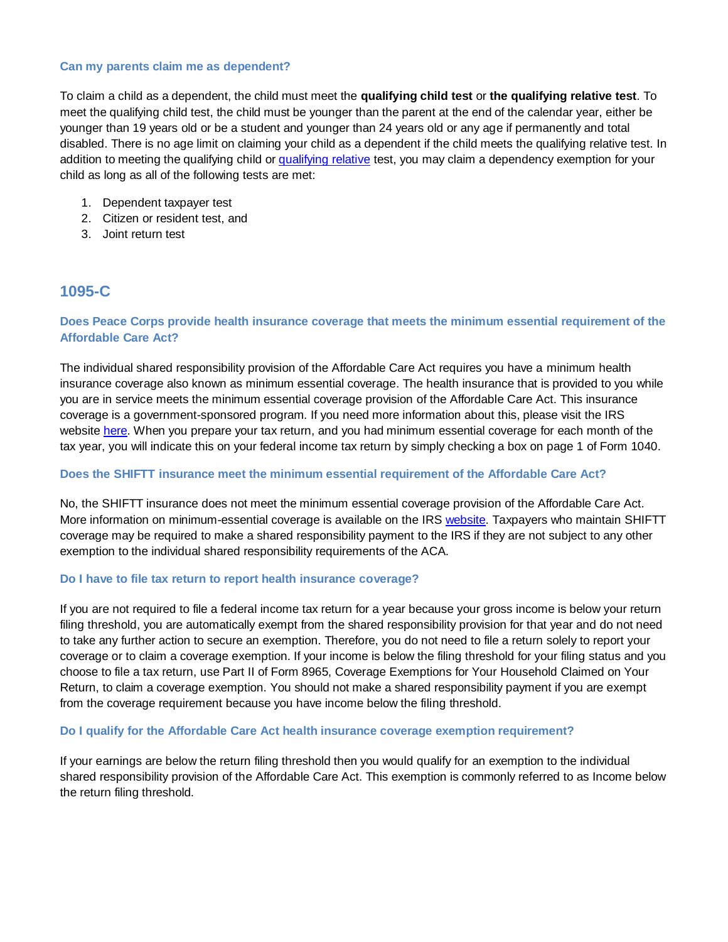#### <span id="page-9-0"></span>**Can my parents claim me as dependent?**

To claim a child as a dependent, the child must meet the **qualifying child test** or **the qualifying relative test**. To meet the qualifying child test, the child must be younger than the parent at the end of the calendar year, either be younger than 19 years old or be a student and younger than 24 years old or any age if permanently and total disabled. There is no age limit on claiming your child as a dependent if the child meets the qualifying relative test. In addition to meeting the qualifying child o[r qualifying relative](https://apps.irs.gov/app/vita/content/globalmedia/table_2_dependency_exemption_relative_4012.pdf) test, you may claim a dependency exemption for your child as long as all of the following tests are met:

- 1. Dependent taxpayer test
- 2. Citizen or resident test, and
- 3. Joint return test

## <span id="page-9-1"></span>**1095-C**

#### <span id="page-9-2"></span>**Does Peace Corps provide health insurance coverage that meets the minimum essential requirement of the Affordable Care Act?**

The individual shared responsibility provision of the Affordable Care Act requires you have a minimum health insurance coverage also known as minimum essential coverage. The health insurance that is provided to you while you are in service meets the minimum essential coverage provision of the Affordable Care Act. This insurance coverage is a government-sponsored program. If you need more information about this, please visit the IRS website [here.](https://www.irs.gov/Affordable-Care-Act/Individuals-and-Families/ACA-Individual-Shared-Responsibility-Provision-Minimum-Essential-Coverage) When you prepare your tax return, and you had minimum essential coverage for each month of the tax year, you will indicate this on your federal income tax return by simply checking a box on page 1 of Form 1040.

#### <span id="page-9-3"></span>**Does the SHIFTT insurance meet the minimum essential requirement of the Affordable Care Act?**

No, the SHIFTT insurance does not meet the minimum essential coverage provision of the Affordable Care Act. More information on minimum-essential coverage is available on the IRS [website.](https://www.irs.gov/Affordable-Care-Act/Individuals-and-Families/ACA-Individual-Shared-Responsibility-Provision-Minimum-Essential-Coverage) Taxpayers who maintain SHIFTT coverage may be required to make a shared responsibility payment to the IRS if they are not subject to any other exemption to the individual shared responsibility requirements of the ACA.

#### <span id="page-9-4"></span>**Do I have to file tax return to report health insurance coverage?**

If you are not required to file a federal income tax return for a year because your gross income is below your return filing threshold, you are automatically exempt from the shared responsibility provision for that year and do not need to take any further action to secure an exemption. Therefore, you do not need to file a return solely to report your coverage or to claim a coverage exemption. If your income is below the filing threshold for your filing status and you choose to file a tax return, use Part II of Form 8965, Coverage Exemptions for Your Household Claimed on Your Return, to claim a coverage exemption. You should not make a shared responsibility payment if you are exempt from the coverage requirement because you have income below the filing threshold.

#### <span id="page-9-5"></span>**Do I qualify for the Affordable Care Act health insurance coverage exemption requirement?**

If your earnings are below the return filing threshold then you would qualify for an exemption to the individual shared responsibility provision of the Affordable Care Act. This exemption is commonly referred to as Income below the return filing threshold.